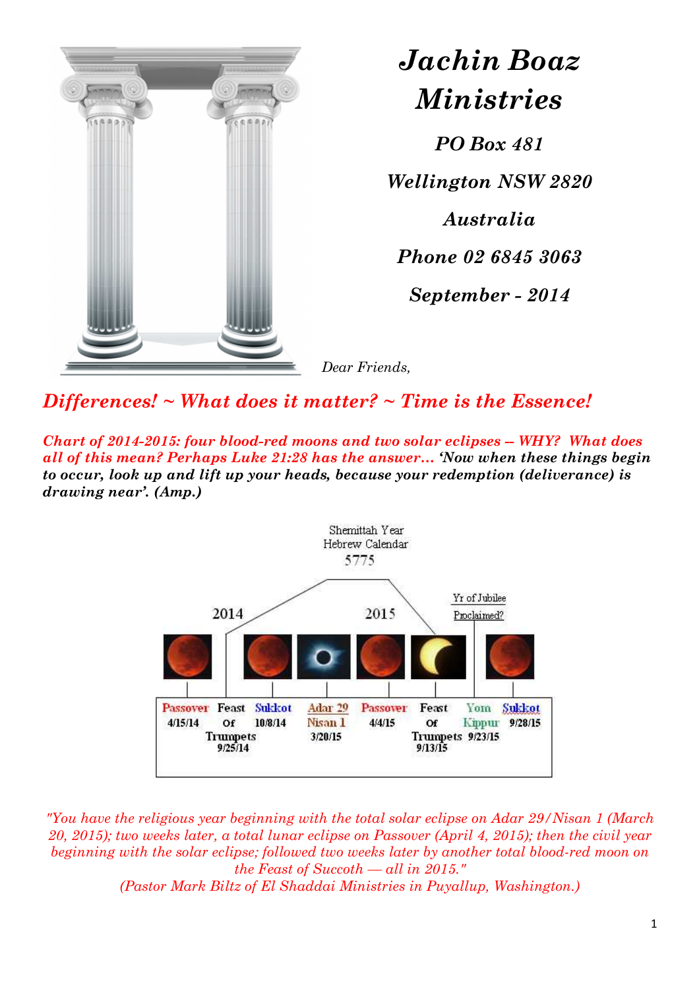

*Jachin Boaz Ministries*

*PO Box 481* 

*Wellington NSW 2820* 

*Australia* 

*Phone 02 6845 3063* 

*September - 2014* 

*Dear Friends,* 

*Differences! ~ What does it matter? ~ Time is the Essence!* 

*Chart of 2014-2015: four blood-red moons and two solar eclipses -- WHY? What does all of this mean? Perhaps Luke 21:28 has the answer… 'Now when these things begin to occur, look up and lift up your heads, because your redemption (deliverance) is drawing near'. (Amp.)*



*"You have the religious year beginning with the total solar eclipse on Adar 29/Nisan 1 (March 20, 2015); two weeks later, a total lunar eclipse on Passover (April 4, 2015); then the civil year beginning with the solar eclipse; followed two weeks later by another total blood-red moon on the Feast of Succoth — all in 2015."* 

*(Pastor Mark Biltz of El Shaddai Ministries in Puyallup, Washington.)*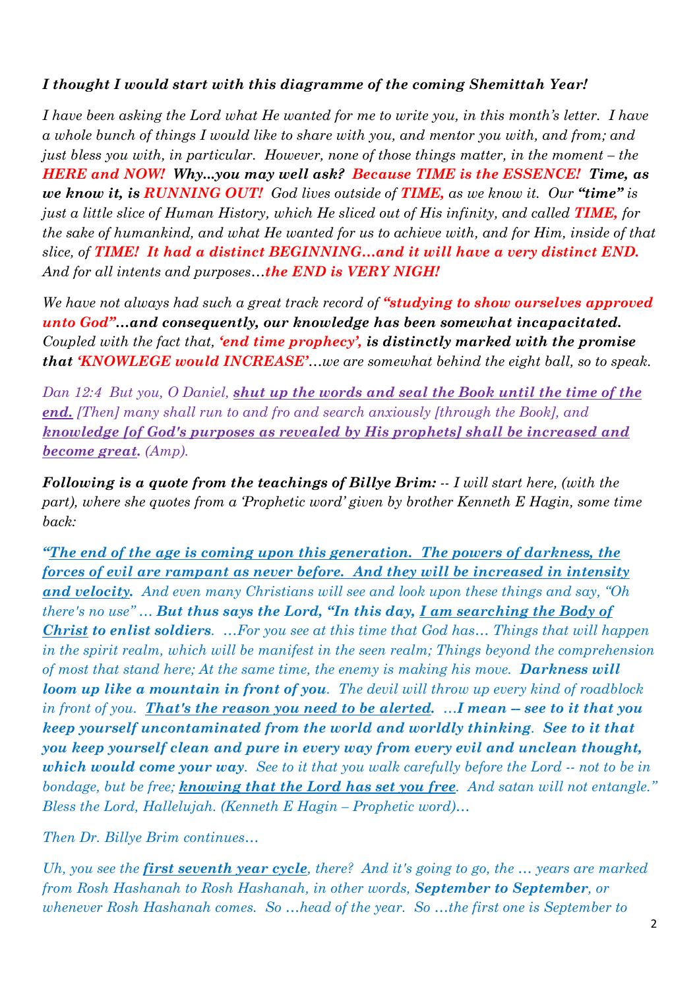## *I thought I would start with this diagramme of the coming Shemittah Year!*

*I have been asking the Lord what He wanted for me to write you, in this month's letter. I have a whole bunch of things I would like to share with you, and mentor you with, and from; and just bless you with, in particular. However, none of those things matter, in the moment – the HERE and NOW! Why...you may well ask? Because TIME is the ESSENCE! Time, as we know it, is RUNNING OUT! God lives outside of TIME, as we know it. Our "time" is just a little slice of Human History, which He sliced out of His infinity, and called <i>TIME, for the sake of humankind, and what He wanted for us to achieve with, and for Him, inside of that slice, of TIME! It had a distinct BEGINNING…and it will have a very distinct END. And for all intents and purposes…the END is VERY NIGH!* 

*We have not always had such a great track record of "studying to show ourselves approved unto God"…and consequently, our knowledge has been somewhat incapacitated. Coupled with the fact that, 'end time prophecy', is distinctly marked with the promise that 'KNOWLEGE would INCREASE'…we are somewhat behind the eight ball, so to speak.* 

*Dan 12:4 But you, O Daniel, shut up the words and seal the Book until the time of the end. [Then] many shall run to and fro and search anxiously [through the Book], and knowledge [of God's purposes as revealed by His prophets] shall be increased and become great. (Amp).* 

*Following is a quote from the teachings of Billye Brim: -- I will start here, (with the part), where she quotes from a 'Prophetic word' given by brother Kenneth E Hagin, some time back:* 

*"The end of the age is coming upon this generation. The powers of darkness, the forces of evil are rampant as never before. And they will be increased in intensity and velocity. And even many Christians will see and look upon these things and say, "Oh there's no use" … But thus says the Lord, "In this day, I am searching the Body of Christ to enlist soldiers. …For you see at this time that God has… Things that will happen in the spirit realm, which will be manifest in the seen realm; Things beyond the comprehension of most that stand here; At the same time, the enemy is making his move. Darkness will loom up like a mountain in front of you. The devil will throw up every kind of roadblock in front of you. That's the reason you need to be alerted. …I mean -- see to it that you keep yourself uncontaminated from the world and worldly thinking. See to it that you keep yourself clean and pure in every way from every evil and unclean thought, which would come your way. See to it that you walk carefully before the Lord -- not to be in bondage, but be free; knowing that the Lord has set you free. And satan will not entangle." Bless the Lord, Hallelujah. (Kenneth E Hagin – Prophetic word)…* 

*Then Dr. Billye Brim continues…* 

*Uh, you see the first seventh year cycle, there? And it's going to go, the … years are marked from Rosh Hashanah to Rosh Hashanah, in other words, September to September, or whenever Rosh Hashanah comes. So …head of the year. So …the first one is September to*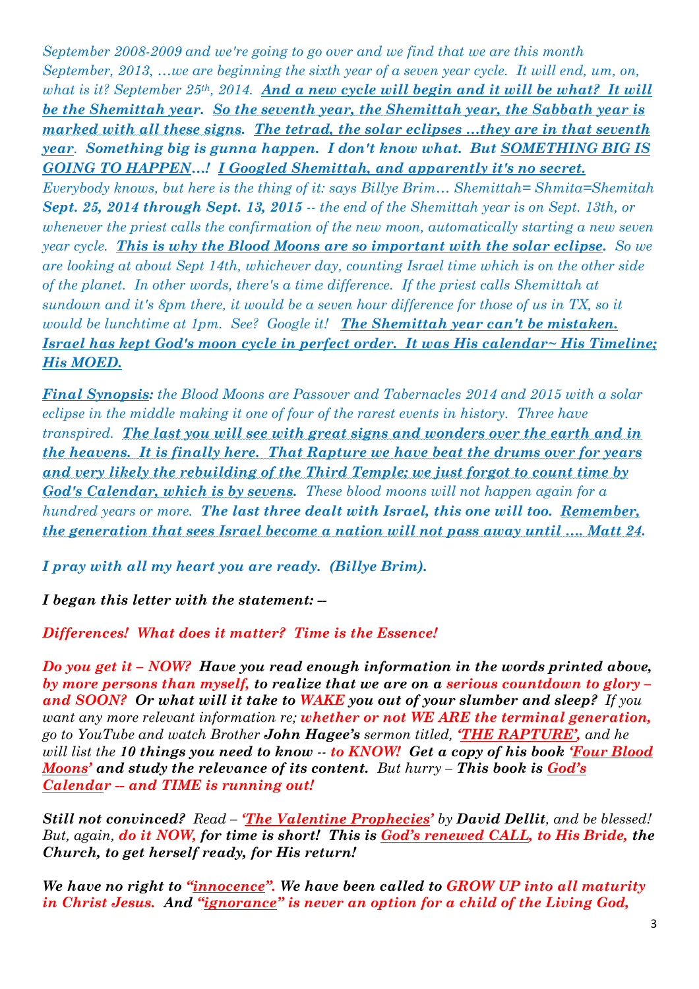*September 2008-2009 and we're going to go over and we find that we are this month September, 2013, …we are beginning the sixth year of a seven year cycle. It will end, um, on, what is it? September 25th, 2014. And a new cycle will begin and it will be what? It will be the Shemittah year. So the seventh year, the Shemittah year, the Sabbath year is marked with all these signs. The tetrad, the solar eclipses …they are in that seventh year. Something big is gunna happen. I don't know what. But SOMETHING BIG IS GOING TO HAPPEN…! I Googled Shemittah, and apparently it's no secret.*

*Everybody knows, but here is the thing of it: says Billye Brim… Shemittah= Shmita=Shemitah Sept. 25, 2014 through Sept. 13, 2015 -- the end of the Shemittah year is on Sept. 13th, or whenever the priest calls the confirmation of the new moon, automatically starting a new seven year cycle. This is why the Blood Moons are so important with the solar eclipse. So we are looking at about Sept 14th, whichever day, counting Israel time which is on the other side of the planet. In other words, there's a time difference. If the priest calls Shemittah at sundown and it's 8pm there, it would be a seven hour difference for those of us in TX, so it would be lunchtime at 1pm. See? Google it! The Shemittah year can't be mistaken. Israel has kept God's moon cycle in perfect order. It was His calendar~ His Timeline; His MOED.* 

*Final Synopsis: the Blood Moons are Passover and Tabernacles 2014 and 2015 with a solar eclipse in the middle making it one of four of the rarest events in history. Three have transpired. The last you will see with great signs and wonders over the earth and in the heavens. It is finally here. That Rapture we have beat the drums over for years and very likely the rebuilding of the Third Temple; we just forgot to count time by God's Calendar, which is by sevens. These blood moons will not happen again for a hundred years or more. The last three dealt with Israel, this one will too. Remember, the generation that sees Israel become a nation will not pass away until …. Matt 24.* 

*I pray with all my heart you are ready. (Billye Brim).* 

*I began this letter with the statement: --* 

*Differences! What does it matter? Time is the Essence!* 

*Do you get it – NOW? Have you read enough information in the words printed above, by more persons than myself, to realize that we are on a serious countdown to glory – and SOON? Or what will it take to WAKE you out of your slumber and sleep? If you want any more relevant information re; whether or not WE ARE the terminal generation, go to YouTube and watch Brother John Hagee's sermon titled, 'THE RAPTURE', and he will list the 10 things you need to know -- to KNOW! Get a copy of his book 'Four Blood Moons' and study the relevance of its content. But hurry – This book is God's Calendar -- and TIME is running out!* 

*Still not convinced? Read – 'The Valentine Prophecies' by David Dellit, and be blessed! But, again, do it NOW, for time is short! This is God's renewed CALL, to His Bride, the Church, to get herself ready, for His return!* 

*We have no right to "innocence". We have been called to GROW UP into all maturity in Christ Jesus. And "ignorance" is never an option for a child of the Living God,*